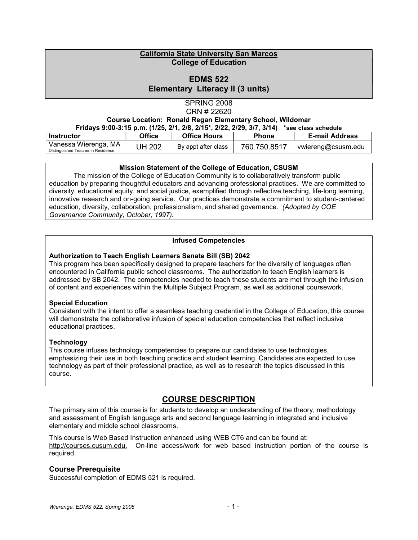## California State University San Marcos College of Education

# EDMS 522 Elementary Literacy II (3 units)

# SPRING 2008 CRN # 22620 Course Location: Ronald Regan Elementary School, Wildomar

| Fridays 9:00-3:15 p.m. (1/25, 2/1, 2/8, 2/15*, 2/22, 2/29, 3/7, 3/14)<br>*see class schedule |               |                     |              |                       |
|----------------------------------------------------------------------------------------------|---------------|---------------------|--------------|-----------------------|
| Instructor                                                                                   | <b>Office</b> | <b>Office Hours</b> | <b>Phone</b> | <b>E-mail Address</b> |
| Vanessa Wierenga, MA<br>Distinguished Teacher in Residence                                   | <b>JH 202</b> | By appt after class | 760.750.8517 | vwiereng@csusm.edu    |

## Mission Statement of the College of Education, CSUSM

 The mission of the College of Education Community is to collaboratively transform public education by preparing thoughtful educators and advancing professional practices. We are committed to diversity, educational equity, and social justice, exemplified through reflective teaching, life-long learning, innovative research and on-going service. Our practices demonstrate a commitment to student-centered education, diversity, collaboration, professionalism, and shared governance. (Adopted by COE Governance Community, October, 1997).

## Infused Competencies

## Authorization to Teach English Learners Senate Bill (SB) 2042

This program has been specifically designed to prepare teachers for the diversity of languages often encountered in California public school classrooms. The authorization to teach English learners is addressed by SB 2042. The competencies needed to teach these students are met through the infusion of content and experiences within the Multiple Subject Program, as well as additional coursework.

## Special Education

Consistent with the intent to offer a seamless teaching credential in the College of Education, this course will demonstrate the collaborative infusion of special education competencies that reflect inclusive educational practices.

## **Technology**

This course infuses technology competencies to prepare our candidates to use technologies, emphasizing their use in both teaching practice and student learning. Candidates are expected to use technology as part of their professional practice, as well as to research the topics discussed in this course.

# COURSE DESCRIPTION

The primary aim of this course is for students to develop an understanding of the theory, methodology and assessment of English language arts and second language learning in integrated and inclusive elementary and middle school classrooms.

This course is Web Based Instruction enhanced using WEB CT6 and can be found at: http://courses.cusum.edu. On-line access/work for web based instruction portion of the course is required.

## Course Prerequisite

Successful completion of EDMS 521 is required.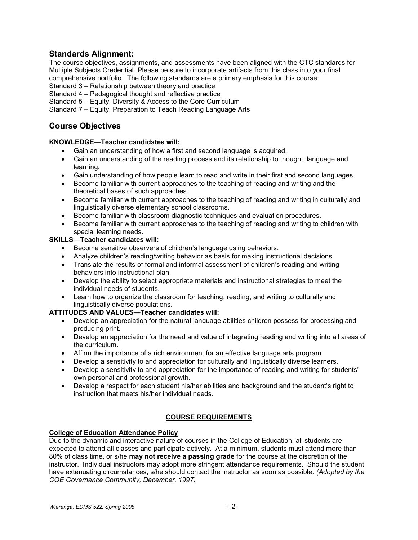# Standards Alignment:

The course objectives, assignments, and assessments have been aligned with the CTC standards for Multiple Subjects Credential. Please be sure to incorporate artifacts from this class into your final comprehensive portfolio. The following standards are a primary emphasis for this course:

Standard 3 – Relationship between theory and practice

Standard 4 – Pedagogical thought and reflective practice

Standard 5 – Equity, Diversity & Access to the Core Curriculum

Standard 7 – Equity, Preparation to Teach Reading Language Arts

# Course Objectives

## KNOWLEDGE—Teacher candidates will:

- Gain an understanding of how a first and second language is acquired.
- Gain an understanding of the reading process and its relationship to thought, language and learning.
- Gain understanding of how people learn to read and write in their first and second languages.
- Become familiar with current approaches to the teaching of reading and writing and the theoretical bases of such approaches.
- Become familiar with current approaches to the teaching of reading and writing in culturally and linguistically diverse elementary school classrooms.
- Become familiar with classroom diagnostic techniques and evaluation procedures.
- Become familiar with current approaches to the teaching of reading and writing to children with special learning needs.

## SKILLS—Teacher candidates will:

- Become sensitive observers of children's language using behaviors.
- Analyze children's reading/writing behavior as basis for making instructional decisions.
- Translate the results of formal and informal assessment of children's reading and writing behaviors into instructional plan.
- Develop the ability to select appropriate materials and instructional strategies to meet the individual needs of students.
- Learn how to organize the classroom for teaching, reading, and writing to culturally and linguistically diverse populations.

## ATTITUDES AND VALUES—Teacher candidates will:

- Develop an appreciation for the natural language abilities children possess for processing and producing print.
- Develop an appreciation for the need and value of integrating reading and writing into all areas of the curriculum.
- Affirm the importance of a rich environment for an effective language arts program.
- Develop a sensitivity to and appreciation for culturally and linguistically diverse learners.
- Develop a sensitivity to and appreciation for the importance of reading and writing for students' own personal and professional growth.
- Develop a respect for each student his/her abilities and background and the student's right to instruction that meets his/her individual needs.

## COURSE REQUIREMENTS

## College of Education Attendance Policy

Due to the dynamic and interactive nature of courses in the College of Education, all students are expected to attend all classes and participate actively. At a minimum, students must attend more than 80% of class time, or s/he may not receive a passing grade for the course at the discretion of the instructor. Individual instructors may adopt more stringent attendance requirements. Should the student have extenuating circumstances, s/he should contact the instructor as soon as possible. (Adopted by the COE Governance Community, December, 1997)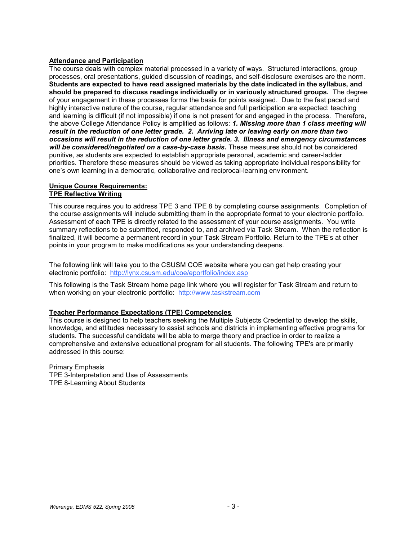#### Attendance and Participation

The course deals with complex material processed in a variety of ways. Structured interactions, group processes, oral presentations, guided discussion of readings, and self-disclosure exercises are the norm. Students are expected to have read assigned materials by the date indicated in the syllabus, and should be prepared to discuss readings individually or in variously structured groups. The degree of your engagement in these processes forms the basis for points assigned. Due to the fast paced and highly interactive nature of the course, regular attendance and full participation are expected: teaching and learning is difficult (if not impossible) if one is not present for and engaged in the process. Therefore, the above College Attendance Policy is amplified as follows: 1. Missing more than 1 class meeting will result in the reduction of one letter grade. 2. Arriving late or leaving early on more than two occasions will result in the reduction of one letter grade. 3. Illness and emergency circumstances will be considered/negotiated on a case-by-case basis. These measures should not be considered punitive, as students are expected to establish appropriate personal, academic and career-ladder priorities. Therefore these measures should be viewed as taking appropriate individual responsibility for one's own learning in a democratic, collaborative and reciprocal-learning environment.

#### Unique Course Requirements: TPE Reflective Writing

This course requires you to address TPE 3 and TPE 8 by completing course assignments. Completion of the course assignments will include submitting them in the appropriate format to your electronic portfolio. Assessment of each TPE is directly related to the assessment of your course assignments. You write summary reflections to be submitted, responded to, and archived via Task Stream. When the reflection is finalized, it will become a permanent record in your Task Stream Portfolio. Return to the TPE's at other points in your program to make modifications as your understanding deepens.

The following link will take you to the CSUSM COE website where you can get help creating your electronic portfolio: http://lynx.csusm.edu/coe/eportfolio/index.asp

This following is the Task Stream home page link where you will register for Task Stream and return to when working on your electronic portfolio: http://www.taskstream.com

#### Teacher Performance Expectations (TPE) Competencies

This course is designed to help teachers seeking the Multiple Subjects Credential to develop the skills, knowledge, and attitudes necessary to assist schools and districts in implementing effective programs for students. The successful candidate will be able to merge theory and practice in order to realize a comprehensive and extensive educational program for all students. The following TPE's are primarily addressed in this course:

Primary Emphasis TPE 3-Interpretation and Use of Assessments TPE 8-Learning About Students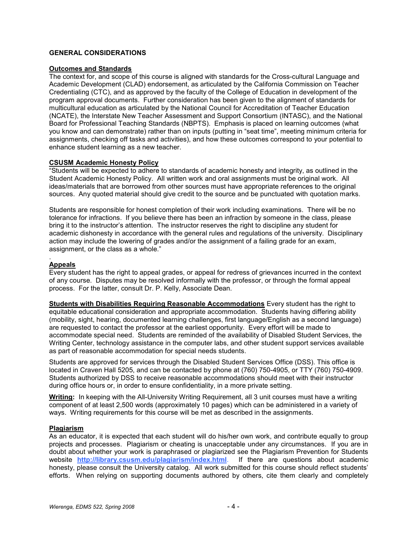### GENERAL CONSIDERATIONS

#### Outcomes and Standards

The context for, and scope of this course is aligned with standards for the Cross-cultural Language and Academic Development (CLAD) endorsement, as articulated by the California Commission on Teacher Credentialing (CTC), and as approved by the faculty of the College of Education in development of the program approval documents. Further consideration has been given to the alignment of standards for multicultural education as articulated by the National Council for Accreditation of Teacher Education (NCATE), the Interstate New Teacher Assessment and Support Consortium (INTASC), and the National Board for Professional Teaching Standards (NBPTS). Emphasis is placed on learning outcomes (what you know and can demonstrate) rather than on inputs (putting in "seat time", meeting minimum criteria for assignments, checking off tasks and activities), and how these outcomes correspond to your potential to enhance student learning as a new teacher.

#### CSUSM Academic Honesty Policy

"Students will be expected to adhere to standards of academic honesty and integrity, as outlined in the Student Academic Honesty Policy. All written work and oral assignments must be original work. All ideas/materials that are borrowed from other sources must have appropriate references to the original sources. Any quoted material should give credit to the source and be punctuated with quotation marks.

Students are responsible for honest completion of their work including examinations. There will be no tolerance for infractions. If you believe there has been an infraction by someone in the class, please bring it to the instructor's attention. The instructor reserves the right to discipline any student for academic dishonesty in accordance with the general rules and regulations of the university. Disciplinary action may include the lowering of grades and/or the assignment of a failing grade for an exam, assignment, or the class as a whole."

#### . Appeals

Every student has the right to appeal grades, or appeal for redress of grievances incurred in the context of any course. Disputes may be resolved informally with the professor, or through the formal appeal process. For the latter, consult Dr. P. Kelly, Associate Dean.

Students with Disabilities Requiring Reasonable Accommodations Every student has the right to equitable educational consideration and appropriate accommodation. Students having differing ability (mobility, sight, hearing, documented learning challenges, first language/English as a second language) are requested to contact the professor at the earliest opportunity. Every effort will be made to accommodate special need. Students are reminded of the availability of Disabled Student Services, the Writing Center, technology assistance in the computer labs, and other student support services available as part of reasonable accommodation for special needs students.

Students are approved for services through the Disabled Student Services Office (DSS). This office is located in Craven Hall 5205, and can be contacted by phone at (760) 750-4905, or TTY (760) 750-4909. Students authorized by DSS to receive reasonable accommodations should meet with their instructor during office hours or, in order to ensure confidentiality, in a more private setting.

Writing: In keeping with the All-University Writing Requirement, all 3 unit courses must have a writing component of at least 2,500 words (approximately 10 pages) which can be administered in a variety of ways. Writing requirements for this course will be met as described in the assignments.

#### Plagiarism

As an educator, it is expected that each student will do his/her own work, and contribute equally to group projects and processes. Plagiarism or cheating is unacceptable under any circumstances. If you are in doubt about whether your work is paraphrased or plagiarized see the Plagiarism Prevention for Students website http://library.csusm.edu/plagiarism/index.html. If there are questions about academic honesty, please consult the University catalog. All work submitted for this course should reflect students' efforts. When relying on supporting documents authored by others, cite them clearly and completely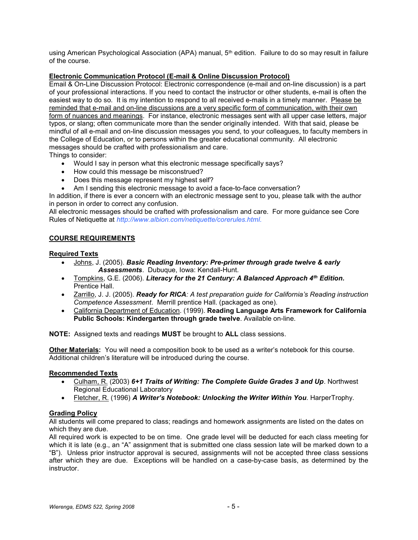using American Psychological Association (APA) manual, 5<sup>th</sup> edition. Failure to do so may result in failure of the course.

## Electronic Communication Protocol (E-mail & Online Discussion Protocol)

Email & On-Line Discussion Protocol: Electronic correspondence (e-mail and on-line discussion) is a part of your professional interactions. If you need to contact the instructor or other students, e-mail is often the easiest way to do so. It is my intention to respond to all received e-mails in a timely manner. Please be reminded that e-mail and on-line discussions are a very specific form of communication, with their own form of nuances and meanings. For instance, electronic messages sent with all upper case letters, major typos, or slang; often communicate more than the sender originally intended. With that said, please be mindful of all e-mail and on-line discussion messages you send, to your colleagues, to faculty members in the College of Education, or to persons within the greater educational community. All electronic messages should be crafted with professionalism and care.

Things to consider:

- Would I say in person what this electronic message specifically says?
- How could this message be misconstrued?
- Does this message represent my highest self?
- Am I sending this electronic message to avoid a face-to-face conversation?

In addition, if there is ever a concern with an electronic message sent to you, please talk with the author in person in order to correct any confusion.

All electronic messages should be crafted with professionalism and care. For more guidance see Core Rules of Netiquette at http://www.albion.com/netiquette/corerules.html.

## COURSE REQUIREMENTS

### Required Texts

- Johns, J. (2005). Basic Reading Inventory: Pre-primer through grade twelve & early Assessments. Dubuque, Iowa: Kendall-Hunt.
- Tompkins, G.E. (2006). Literacy for the 21 Century: A Balanced Approach  $4^{th}$  Edition. Prentice Hall.
- Zarrillo, J. J. (2005). Ready for RICA: A test preparation quide for California's Reading instruction Competence Assessment. Merrill prentice Hall. (packaged as one).
- California Department of Education. (1999). Reading Language Arts Framework for California Public Schools: Kindergarten through grade twelve. Available on-line.

NOTE: Assigned texts and readings MUST be brought to ALL class sessions.

Other Materials: You will need a composition book to be used as a writer's notebook for this course. Additional children's literature will be introduced during the course.

#### Recommended Texts

- Culham, R. (2003) 6+1 Traits of Writing: The Complete Guide Grades 3 and Up. Northwest Regional Educational Laboratory
- Fletcher, R. (1996) A Writer's Notebook: Unlocking the Writer Within You. HarperTrophy.

## Grading Policy

All students will come prepared to class; readings and homework assignments are listed on the dates on which they are due.

All required work is expected to be on time. One grade level will be deducted for each class meeting for which it is late (e.g., an "A" assignment that is submitted one class session late will be marked down to a "B"). Unless prior instructor approval is secured, assignments will not be accepted three class sessions after which they are due. Exceptions will be handled on a case-by-case basis, as determined by the instructor.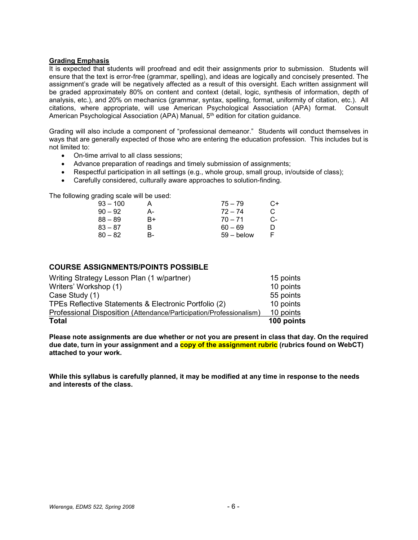#### Grading Emphasis

It is expected that students will proofread and edit their assignments prior to submission. Students will ensure that the text is error-free (grammar, spelling), and ideas are logically and concisely presented. The assignment's grade will be negatively affected as a result of this oversight. Each written assignment will be graded approximately 80% on content and context (detail, logic, synthesis of information, depth of analysis, etc.), and 20% on mechanics (grammar, syntax, spelling, format, uniformity of citation, etc.). All citations, where appropriate, will use American Psychological Association (APA) format. Consult American Psychological Association (APA) Manual, 5<sup>th</sup> edition for citation guidance.

Grading will also include a component of "professional demeanor." Students will conduct themselves in ways that are generally expected of those who are entering the education profession. This includes but is not limited to:

- On-time arrival to all class sessions;
- Advance preparation of readings and timely submission of assignments;
- Respectful participation in all settings (e.g., whole group, small group, in/outside of class);
- Carefully considered, culturally aware approaches to solution-finding.

The following grading scale will be used:

|    | $75 - 79$    | C+ |
|----|--------------|----|
| А- | $72 - 74$    | C  |
| B+ | $70 - 71$    | C- |
| R  | $60 - 69$    |    |
| в- | $59 -$ below |    |
|    |              |    |

## COURSE ASSIGNMENTS/POINTS POSSIBLE

| <b>Total</b>                                                        | 100 points |
|---------------------------------------------------------------------|------------|
| Professional Disposition (Attendance/Participation/Professionalism) | 10 points  |
| TPEs Reflective Statements & Electronic Portfolio (2)               | 10 points  |
| Case Study (1)                                                      | 55 points  |
| Writers' Workshop (1)                                               | 10 points  |
| Writing Strategy Lesson Plan (1 w/partner)                          | 15 points  |

Please note assignments are due whether or not you are present in class that day. On the required due date, turn in your assignment and a copy of the assignment rubric (rubrics found on WebCT) attached to your work.

While this syllabus is carefully planned, it may be modified at any time in response to the needs and interests of the class.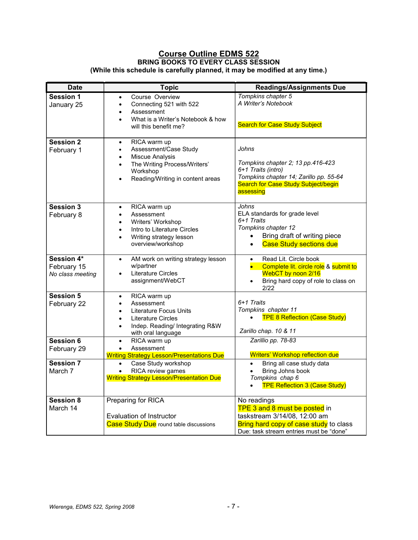## Course Outline EDMS 522 BRING BOOKS TO EVERY CLASS SESSION (While this schedule is carefully planned, it may be modified at any time.)

| Date                                          | <b>Topic</b>                                                                                                                                                                                                     | <b>Readings/Assignments Due</b>                                                                                                                                          |
|-----------------------------------------------|------------------------------------------------------------------------------------------------------------------------------------------------------------------------------------------------------------------|--------------------------------------------------------------------------------------------------------------------------------------------------------------------------|
| <b>Session 1</b><br>January 25                | Course Overview<br>Connecting 521 with 522<br>$\bullet$<br>Assessment<br>$\bullet$<br>What is a Writer's Notebook & how<br>$\bullet$<br>will this benefit me?                                                    | Tompkins chapter 5<br>A Writer's Notebook<br><b>Search for Case Study Subject</b>                                                                                        |
| <b>Session 2</b><br>February 1                | RICA warm up<br>$\bullet$<br>Assessment/Case Study<br>$\bullet$<br><b>Miscue Analysis</b><br>$\bullet$<br>The Writing Process/Writers'<br>$\bullet$<br>Workshop<br>Reading/Writing in content areas<br>$\bullet$ | Johns<br>Tompkins chapter 2; 13 pp.416-423<br>6+1 Traits (intro)<br>Tompkins chapter 14; Zarillo pp. 55-64<br>Search for Case Study Subject/begin<br>assessing           |
| Session 3<br>February 8                       | RICA warm up<br>$\bullet$<br>Assessment<br>$\bullet$<br>Writers' Workshop<br>$\bullet$<br>Intro to Literature Circles<br>$\bullet$<br>Writing strategy lesson<br>$\bullet$<br>overview/workshop                  | Johns<br>ELA standards for grade level<br>6+1 Traits<br>Tompkins chapter 12<br>Bring draft of writing piece<br>$\bullet$<br><b>Case Study sections due</b><br>$\bullet$  |
| Session 4*<br>February 15<br>No class meeting | AM work on writing strategy lesson<br>$\bullet$<br>w/partner<br>Literature Circles<br>$\bullet$<br>assignment/WebCT                                                                                              | Read Lit. Circle book<br>$\bullet$<br>Complete lit. circle role & submit to<br>WebCT by noon 2/16<br>Bring hard copy of role to class on<br>2/22                         |
| <b>Session 5</b><br>February 22               | RICA warm up<br>$\bullet$<br>Assessment<br>$\bullet$<br>Literature Focus Units<br>$\bullet$<br><b>Literature Circles</b><br>$\bullet$<br>Indep. Reading/ Integrating R&W<br>$\bullet$<br>with oral language      | 6+1 Traits<br>Tompkins chapter 11<br><b>TPE 8 Reflection (Case Study)</b><br>Zarillo chap. 10 & 11                                                                       |
| Session 6<br>February 29                      | RICA warm up<br>$\bullet$<br>Assessment<br>$\bullet$<br><b>Writing Strategy Lesson/Presentations Due</b>                                                                                                         | Zarillio pp. 78-83<br><b>Writers' Workshop reflection due</b>                                                                                                            |
| Session 7<br>March 7                          | Case Study workshop<br>$\bullet$<br>RICA review games<br><b>Writing Strategy Lesson/Presentation Due</b>                                                                                                         | Bring all case study data<br>$\bullet$<br>Bring Johns book<br>Tompkins chap 6<br><b>TPE Reflection 3 (Case Study)</b>                                                    |
| Session 8<br>March 14                         | <b>Preparing for RICA</b><br><b>Evaluation of Instructor</b><br><b>Case Study Due</b> round table discussions                                                                                                    | No readings<br>TPE 3 and 8 must be posted in<br>taskstream 3/14/08, 12:00 am<br><b>Bring hard copy of case study</b> to class<br>Due: task stream entries must be "done" |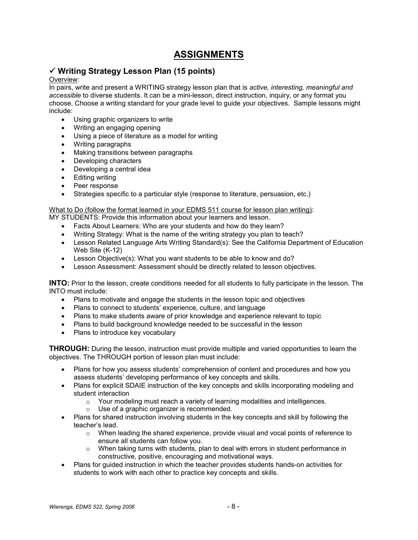# ASSIGNMENTS

# $\checkmark$  Writing Strategy Lesson Plan (15 points)

#### Overview:

In pairs, write and present a WRITING strategy lesson plan that is active, interesting, meaningful and accessible to diverse students. It can be a mini-lesson, direct instruction, inquiry, or any format you choose. Choose a writing standard for your grade level to guide your objectives. Sample lessons might include:

- Using graphic organizers to write
- Writing an engaging opening
- Using a piece of literature as a model for writing
- Writing paragraphs
- Making transitions between paragraphs
- Developing characters
- Developing a central idea
- Editing writing
- Peer response
- Strategies specific to a particular style (response to literature, persuasion, etc.)

### What to Do (follow the format learned in your EDMS 511 course for lesson plan writing):

MY STUDENTS: Provide this information about your learners and lesson.

- Facts About Learners: Who are your students and how do they learn?
- Writing Strategy: What is the name of the writing strategy you plan to teach?
- Lesson Related Language Arts Writing Standard(s): See the California Department of Education Web Site (K-12)
- Lesson Objective(s): What you want students to be able to know and do?
- Lesson Assessment: Assessment should be directly related to lesson objectives.

INTO: Prior to the lesson, create conditions needed for all students to fully participate in the lesson. The INTO must include:

- Plans to motivate and engage the students in the lesson topic and objectives
- Plans to connect to students' experience, culture, and language
- Plans to make students aware of prior knowledge and experience relevant to topic
- Plans to build background knowledge needed to be successful in the lesson
- Plans to introduce key vocabulary

**THROUGH:** During the lesson, instruction must provide multiple and varied opportunities to learn the objectives. The THROUGH portion of lesson plan must include:

- Plans for how you assess students' comprehension of content and procedures and how you assess students' developing performance of key concepts and skills.
- Plans for explicit SDAIE instruction of the key concepts and skills incorporating modeling and student interaction
	- $\circ$  Your modeling must reach a variety of learning modalities and intelligences.
	- o Use of a graphic organizer is recommended.
- Plans for shared instruction involving students in the key concepts and skill by following the teacher's lead.
	- $\circ$  When leading the shared experience, provide visual and vocal points of reference to ensure all students can follow you.
	- $\circ$  When taking turns with students, plan to deal with errors in student performance in constructive, positive, encouraging and motivational ways.
- Plans for guided instruction in which the teacher provides students hands-on activities for students to work with each other to practice key concepts and skills.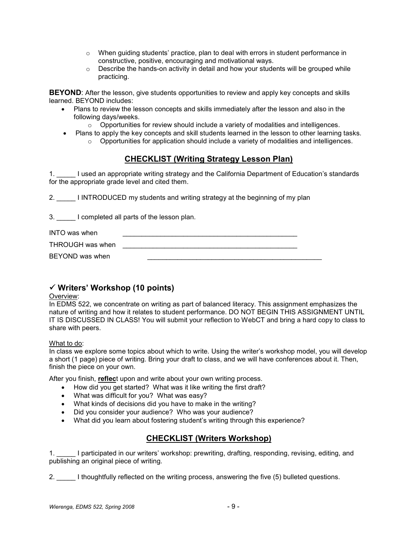- $\circ$  When guiding students' practice, plan to deal with errors in student performance in constructive, positive, encouraging and motivational ways.
- $\circ$  Describe the hands-on activity in detail and how your students will be grouped while practicing.

**BEYOND:** After the lesson, give students opportunities to review and apply key concepts and skills learned. BEYOND includes:

- Plans to review the lesson concepts and skills immediately after the lesson and also in the following days/weeks.
	- $\circ$  Opportunities for review should include a variety of modalities and intelligences.
- Plans to apply the key concepts and skill students learned in the lesson to other learning tasks.  $\circ$  Opportunities for application should include a variety of modalities and intelligences.

# CHECKLIST (Writing Strategy Lesson Plan)

1. \_\_\_\_\_ I used an appropriate writing strategy and the California Department of Education's standards for the appropriate grade level and cited them.

2. I INTRODUCED my students and writing strategy at the beginning of my plan

3. \_\_\_\_\_ I completed all parts of the lesson plan.

INTO was when **INTO** was when

THROUGH was when

BEYOND was when

# $\checkmark$  Writers' Workshop (10 points)

#### Overview:

In EDMS 522, we concentrate on writing as part of balanced literacy. This assignment emphasizes the nature of writing and how it relates to student performance. DO NOT BEGIN THIS ASSIGNMENT UNTIL IT IS DISCUSSED IN CLASS! You will submit your reflection to WebCT and bring a hard copy to class to share with peers.

#### What to do:

In class we explore some topics about which to write. Using the writer's workshop model, you will develop a short (1 page) piece of writing. Bring your draft to class, and we will have conferences about it. Then, finish the piece on your own.

After you finish, reflect upon and write about your own writing process.

- How did you get started? What was it like writing the first draft?
- What was difficult for you? What was easy?
- What kinds of decisions did you have to make in the writing?
- Did you consider your audience? Who was your audience?
- What did you learn about fostering student's writing through this experience?

# CHECKLIST (Writers Workshop)

1. participated in our writers' workshop: prewriting, drafting, responding, revising, editing, and publishing an original piece of writing.

2. 1 thoughtfully reflected on the writing process, answering the five (5) bulleted questions.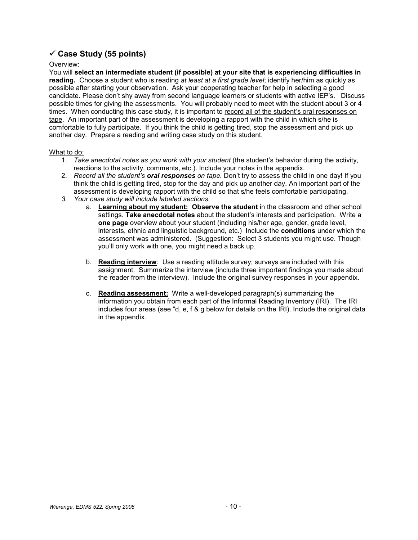# $\checkmark$  Case Study (55 points)

#### Overview:

You will select an intermediate student (if possible) at your site that is experiencing difficulties in reading. Choose a student who is reading at least at a first grade level; identify her/him as quickly as possible after starting your observation. Ask your cooperating teacher for help in selecting a good candidate. Please don't shy away from second language learners or students with active IEP's. Discuss possible times for giving the assessments. You will probably need to meet with the student about 3 or 4 times. When conducting this case study, it is important to record all of the student's oral responses on tape. An important part of the assessment is developing a rapport with the child in which s/he is comfortable to fully participate. If you think the child is getting tired, stop the assessment and pick up another day. Prepare a reading and writing case study on this student.

#### What to do:

- 1. Take anecdotal notes as you work with your student (the student's behavior during the activity, reactions to the activity, comments, etc.). Include your notes in the appendix.
- 2. Record all the student's oral responses on tape. Don't try to assess the child in one day! If you think the child is getting tired, stop for the day and pick up another day. An important part of the assessment is developing rapport with the child so that s/he feels comfortable participating.
- 3. Your case study will include labeled sections.
	- a. Learning about my student: Observe the student in the classroom and other school settings. Take anecdotal notes about the student's interests and participation. Write a one page overview about your student (including his/her age, gender, grade level, interests, ethnic and linguistic background, etc.) Include the conditions under which the assessment was administered. (Suggestion: Select 3 students you might use. Though you'll only work with one, you might need a back up.
	- b. Reading interview: Use a reading attitude survey; surveys are included with this assignment. Summarize the interview (include three important findings you made about the reader from the interview). Include the original survey responses in your appendix.
	- c. Reading assessment: Write a well-developed paragraph(s) summarizing the information you obtain from each part of the Informal Reading Inventory (IRI). The IRI includes four areas (see "d, e, f & g below for details on the IRI). Include the original data in the appendix.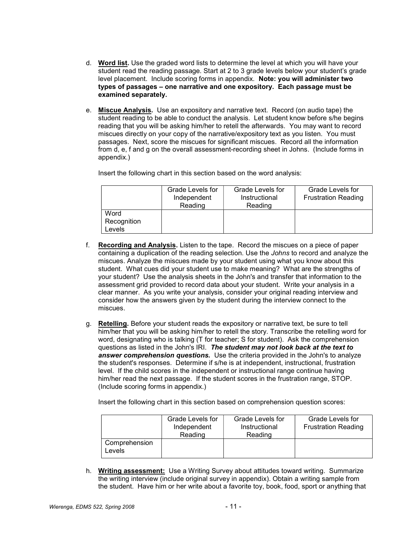- d. Word list. Use the graded word lists to determine the level at which you will have your student read the reading passage. Start at 2 to 3 grade levels below your student's grade level placement. Include scoring forms in appendix. Note: you will administer two types of passages – one narrative and one expository. Each passage must be examined separately.
- e. Miscue Analysis. Use an expository and narrative text. Record (on audio tape) the student reading to be able to conduct the analysis. Let student know before s/he begins reading that you will be asking him/her to retell the afterwards. You may want to record miscues directly on your copy of the narrative/expository text as you listen. You must passages. Next, score the miscues for significant miscues. Record all the information from d, e, f and g on the overall assessment-recording sheet in Johns. (Include forms in appendix.)

Insert the following chart in this section based on the word analysis:

|                               | Grade Levels for<br>Independent<br>Reading | Grade Levels for<br>Instructional<br>Reading | <b>Grade Levels for</b><br><b>Frustration Reading</b> |
|-------------------------------|--------------------------------------------|----------------------------------------------|-------------------------------------------------------|
| Word<br>Recognition<br>Levels |                                            |                                              |                                                       |

- f. Recording and Analysis. Listen to the tape. Record the miscues on a piece of paper containing a duplication of the reading selection. Use the Johns to record and analyze the miscues. Analyze the miscues made by your student using what you know about this student. What cues did your student use to make meaning? What are the strengths of your student? Use the analysis sheets in the John's and transfer that information to the assessment grid provided to record data about your student. Write your analysis in a clear manner. As you write your analysis, consider your original reading interview and consider how the answers given by the student during the interview connect to the miscues.
- g. Retelling. Before your student reads the expository or narrative text, be sure to tell him/her that you will be asking him/her to retell the story. Transcribe the retelling word for word, designating who is talking (T for teacher; S for student). Ask the comprehension questions as listed in the John's IRI. The student may not look back at the text to answer comprehension questions. Use the criteria provided in the John's to analyze the student's responses. Determine if s/he is at independent, instructional, frustration level. If the child scores in the independent or instructional range continue having him/her read the next passage. If the student scores in the frustration range, STOP. (Include scoring forms in appendix.)

Insert the following chart in this section based on comprehension question scores:

|                         | Grade Levels for<br>Independent<br>Reading | Grade Levels for<br>Instructional<br>Reading | Grade Levels for<br><b>Frustration Reading</b> |
|-------------------------|--------------------------------------------|----------------------------------------------|------------------------------------------------|
| Comprehension<br>Levels |                                            |                                              |                                                |

h. Writing assessment: Use a Writing Survey about attitudes toward writing. Summarize the writing interview (include original survey in appendix). Obtain a writing sample from the student. Have him or her write about a favorite toy, book, food, sport or anything that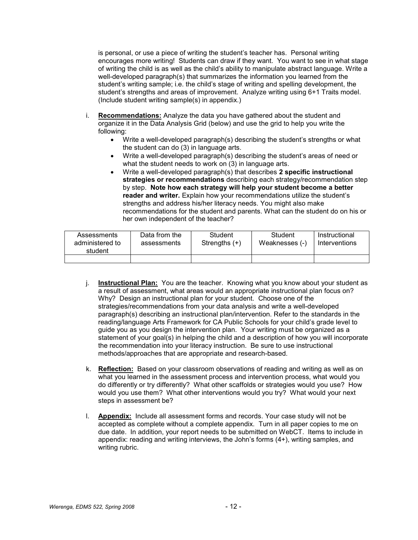is personal, or use a piece of writing the student's teacher has. Personal writing encourages more writing! Students can draw if they want. You want to see in what stage of writing the child is as well as the child's ability to manipulate abstract language. Write a well-developed paragraph(s) that summarizes the information you learned from the student's writing sample; i.e. the child's stage of writing and spelling development, the student's strengths and areas of improvement. Analyze writing using 6+1 Traits model. (Include student writing sample(s) in appendix.)

- i. Recommendations: Analyze the data you have gathered about the student and organize it in the Data Analysis Grid (below) and use the grid to help you write the following:
	- Write a well-developed paragraph(s) describing the student's strengths or what the student can do (3) in language arts.
	- Write a well-developed paragraph(s) describing the student's areas of need or what the student needs to work on (3) in language arts.
	- Write a well-developed paragraph(s) that describes 2 specific instructional strategies or recommendations describing each strategy/recommendation step by step. Note how each strategy will help your student become a better reader and writer. Explain how your recommendations utilize the student's strengths and address his/her literacy needs. You might also make recommendations for the student and parents. What can the student do on his or her own independent of the teacher?

| Assessments<br>administered to<br>student | Data from the<br>assessments | Student<br>Strengths $(+)$ | Student<br>Weaknesses (-) | Instructional<br>Interventions |
|-------------------------------------------|------------------------------|----------------------------|---------------------------|--------------------------------|
|                                           |                              |                            |                           |                                |

- j. **Instructional Plan:** You are the teacher. Knowing what you know about your student as a result of assessment, what areas would an appropriate instructional plan focus on? Why? Design an instructional plan for your student. Choose one of the strategies/recommendations from your data analysis and write a well-developed paragraph(s) describing an instructional plan/intervention. Refer to the standards in the reading/language Arts Framework for CA Public Schools for your child's grade level to guide you as you design the intervention plan. Your writing must be organized as a statement of your goal(s) in helping the child and a description of how you will incorporate the recommendation into your literacy instruction. Be sure to use instructional methods/approaches that are appropriate and research-based.
- k. Reflection: Based on your classroom observations of reading and writing as well as on what you learned in the assessment process and intervention process, what would you do differently or try differently? What other scaffolds or strategies would you use? How would you use them? What other interventions would you try? What would your next steps in assessment be?
- l. Appendix: Include all assessment forms and records. Your case study will not be accepted as complete without a complete appendix. Turn in all paper copies to me on due date. In addition, your report needs to be submitted on WebCT. Items to include in appendix: reading and writing interviews, the John's forms (4+), writing samples, and writing rubric.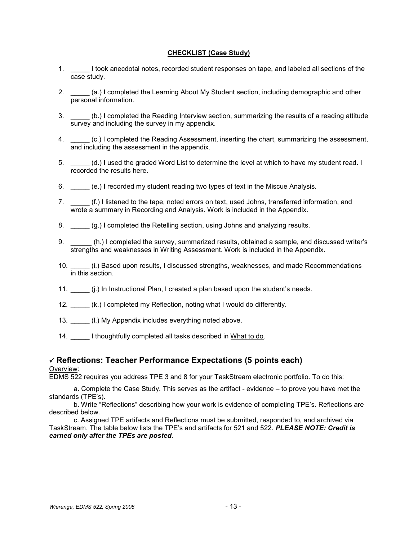#### CHECKLIST (Case Study)

- 1. \_\_\_\_\_ I took anecdotal notes, recorded student responses on tape, and labeled all sections of the case study.
- 2. \_\_\_\_\_ (a.) I completed the Learning About My Student section, including demographic and other personal information.
- 3. \_\_\_\_\_ (b.) I completed the Reading Interview section, summarizing the results of a reading attitude survey and including the survey in my appendix.
- 4. \_\_\_\_\_ (c.) I completed the Reading Assessment, inserting the chart, summarizing the assessment, and including the assessment in the appendix.
- 5. \_\_\_\_\_ (d.) I used the graded Word List to determine the level at which to have my student read. I recorded the results here.
- 6. \_\_\_\_\_ (e.) I recorded my student reading two types of text in the Miscue Analysis.
- 7. \_\_\_\_\_(f.) I listened to the tape, noted errors on text, used Johns, transferred information, and wrote a summary in Recording and Analysis. Work is included in the Appendix.
- 8. \_\_\_\_\_ (g.) I completed the Retelling section, using Johns and analyzing results.
- 9. \_\_\_\_\_ (h.) I completed the survey, summarized results, obtained a sample, and discussed writer's strengths and weaknesses in Writing Assessment. Work is included in the Appendix.
- 10. \_\_\_\_\_ (i.) Based upon results, I discussed strengths, weaknesses, and made Recommendations in this section.
- 11. \_\_\_\_\_ (j.) In Instructional Plan, I created a plan based upon the student's needs.
- 12. \_\_\_\_\_ (k.) I completed my Reflection, noting what I would do differently.
- 13. \_\_\_\_\_ (l.) My Appendix includes everything noted above.
- 14. I thoughtfully completed all tasks described in What to do.

## $\checkmark$  Reflections: Teacher Performance Expectations (5 points each)

#### Overview:

EDMS 522 requires you address TPE 3 and 8 for your TaskStream electronic portfolio. To do this:

a. Complete the Case Study. This serves as the artifact - evidence – to prove you have met the standards (TPE's).

b. Write "Reflections" describing how your work is evidence of completing TPE's. Reflections are described below.

c. Assigned TPE artifacts and Reflections must be submitted, responded to, and archived via TaskStream. The table below lists the TPE's and artifacts for 521 and 522. PLEASE NOTE: Credit is earned only after the TPEs are posted.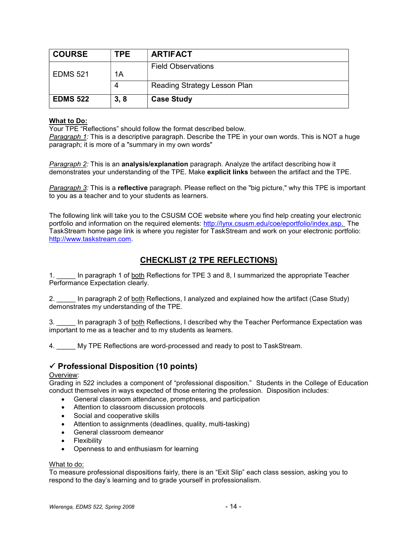| <b>COURSE</b>   | TPE  | <b>ARTIFACT</b>              |
|-----------------|------|------------------------------|
|                 |      | <b>Field Observations</b>    |
| <b>EDMS 521</b> | 1Α   |                              |
|                 | 4    | Reading Strategy Lesson Plan |
| <b>EDMS 522</b> | 3, 8 | <b>Case Study</b>            |

## What to Do:

Your TPE "Reflections" should follow the format described below.

Paragraph 1: This is a descriptive paragraph. Describe the TPE in your own words. This is NOT a huge paragraph; it is more of a "summary in my own words"

Paragraph 2: This is an **analysis/explanation** paragraph. Analyze the artifact describing how it demonstrates your understanding of the TPE. Make explicit links between the artifact and the TPE.

Paragraph 3: This is a reflective paragraph. Please reflect on the "big picture," why this TPE is important to you as a teacher and to your students as learners.

The following link will take you to the CSUSM COE website where you find help creating your electronic portfolio and information on the required elements: http://lynx.csusm.edu/coe/eportfolio/index.asp. The TaskStream home page link is where you register for TaskStream and work on your electronic portfolio: http://www.taskstream.com.

# CHECKLIST (2 TPE REFLECTIONS)

1. \_\_\_\_\_ In paragraph 1 of both Reflections for TPE 3 and 8, I summarized the appropriate Teacher Performance Expectation clearly.

2. In paragraph 2 of both Reflections, I analyzed and explained how the artifact (Case Study) demonstrates my understanding of the TPE.

3. \_\_\_\_\_ In paragraph 3 of both Reflections, I described why the Teacher Performance Expectation was important to me as a teacher and to my students as learners.

4. \_\_\_\_\_ My TPE Reflections are word-processed and ready to post to TaskStream.

# $\checkmark$  Professional Disposition (10 points)

#### Overview:

Grading in 522 includes a component of "professional disposition." Students in the College of Education conduct themselves in ways expected of those entering the profession. Disposition includes:

- General classroom attendance, promptness, and participation
- Attention to classroom discussion protocols
- Social and cooperative skills
- Attention to assignments (deadlines, quality, multi-tasking)
- General classroom demeanor
- Flexibility
- Openness to and enthusiasm for learning

#### What to do:

To measure professional dispositions fairly, there is an "Exit Slip" each class session, asking you to respond to the day's learning and to grade yourself in professionalism.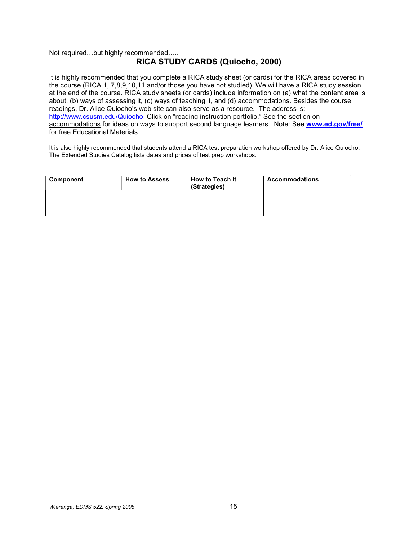## Not required…but highly recommended…..

## RICA STUDY CARDS (Quiocho, 2000)

It is highly recommended that you complete a RICA study sheet (or cards) for the RICA areas covered in the course (RICA 1, 7,8,9,10,11 and/or those you have not studied). We will have a RICA study session at the end of the course. RICA study sheets (or cards) include information on (a) what the content area is about, (b) ways of assessing it, (c) ways of teaching it, and (d) accommodations. Besides the course readings, Dr. Alice Quiocho's web site can also serve as a resource. The address is: http://www.csusm.edu/Quiocho. Click on "reading instruction portfolio." See the section on accommodations for ideas on ways to support second language learners. Note: See www.ed.gov/free/ for free Educational Materials.

It is also highly recommended that students attend a RICA test preparation workshop offered by Dr. Alice Quiocho. The Extended Studies Catalog lists dates and prices of test prep workshops.

| Component | <b>How to Assess</b> | <b>How to Teach It</b><br>(Strategies) | <b>Accommodations</b> |
|-----------|----------------------|----------------------------------------|-----------------------|
|           |                      |                                        |                       |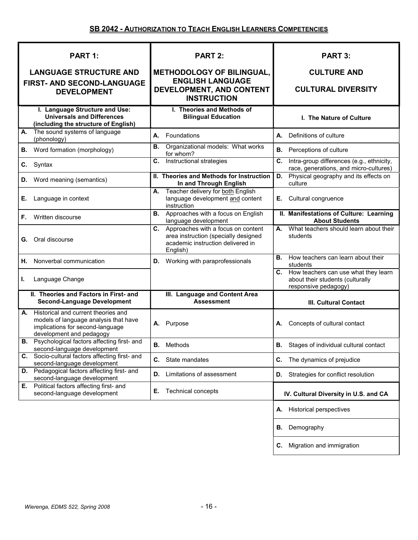| PART 1:                                                                                                                                            | <b>PART 2:</b>                                                                                                                    | <b>PART 3:</b>                                                                                      |
|----------------------------------------------------------------------------------------------------------------------------------------------------|-----------------------------------------------------------------------------------------------------------------------------------|-----------------------------------------------------------------------------------------------------|
| <b>LANGUAGE STRUCTURE AND</b>                                                                                                                      | <b>METHODOLOGY OF BILINGUAL,</b>                                                                                                  | <b>CULTURE AND</b>                                                                                  |
| FIRST- AND SECOND-LANGUAGE<br><b>DEVELOPMENT</b>                                                                                                   | <b>ENGLISH LANGUAGE</b><br>DEVELOPMENT, AND CONTENT<br><b>INSTRUCTION</b>                                                         | <b>CULTURAL DIVERSITY</b>                                                                           |
| I. Language Structure and Use:<br><b>Universals and Differences</b><br>(including the structure of English)                                        | I. Theories and Methods of<br><b>Bilingual Education</b>                                                                          | I. The Nature of Culture                                                                            |
| The sound systems of language<br>А.<br>(phonology)                                                                                                 | Foundations<br>А.                                                                                                                 | Definitions of culture<br>А.                                                                        |
| Word formation (morphology)<br>В.                                                                                                                  | Organizational models: What works<br>В.<br>for whom?                                                                              | <b>B.</b> Perceptions of culture                                                                    |
| Syntax<br>C.                                                                                                                                       | Instructional strategies<br>C.                                                                                                    | Intra-group differences (e.g., ethnicity,<br>C.<br>race, generations, and micro-cultures)           |
| Word meaning (semantics)<br>D.                                                                                                                     | II. Theories and Methods for Instruction<br>In and Through English                                                                | Physical geography and its effects on<br>D.<br>culture                                              |
| Language in context<br>Е.                                                                                                                          | Teacher delivery for both English<br>А.<br>language development and content<br>instruction                                        | Cultural congruence<br>Е.                                                                           |
| Written discourse<br>F.                                                                                                                            | <b>B.</b> Approaches with a focus on English<br>language development                                                              | II. Manifestations of Culture: Learning<br><b>About Students</b>                                    |
| Oral discourse<br>G.                                                                                                                               | Approaches with a focus on content<br>C.<br>area instruction (specially designed<br>academic instruction delivered in<br>English) | What teachers should learn about their<br>А.<br>students                                            |
| Nonverbal communication<br>Н.                                                                                                                      | <b>D.</b> Working with paraprofessionals                                                                                          | How teachers can learn about their<br>В.<br>students                                                |
| Language Change<br>L.                                                                                                                              |                                                                                                                                   | C. How teachers can use what they learn<br>about their students (culturally<br>responsive pedagogy) |
| II. Theories and Factors in First- and<br><b>Second-Language Development</b>                                                                       | III. Language and Content Area<br><b>Assessment</b>                                                                               | <b>III. Cultural Contact</b>                                                                        |
| Historical and current theories and<br>А.<br>models of language analysis that have<br>implications for second-language<br>development and pedagogy | A. Purpose                                                                                                                        | A. Concepts of cultural contact                                                                     |
| <b>B.</b> Psychological factors affecting first- and<br>second-language development                                                                | <b>B.</b> Methods                                                                                                                 | Stages of individual cultural contact<br>В.                                                         |
| C. Socio-cultural factors affecting first- and<br>second-language development                                                                      | С.<br>State mandates                                                                                                              | С.<br>The dynamics of prejudice                                                                     |
| Pedagogical factors affecting first- and<br>D.<br>second-language development                                                                      | Limitations of assessment<br>D.                                                                                                   | Strategies for conflict resolution<br>D.                                                            |
| Political factors affecting first- and<br>Е.<br>second-language development                                                                        | Е.<br>Technical concepts                                                                                                          | IV. Cultural Diversity in U.S. and CA                                                               |
|                                                                                                                                                    |                                                                                                                                   | <b>Historical perspectives</b><br>Α.                                                                |
|                                                                                                                                                    |                                                                                                                                   | Demography<br>В.                                                                                    |
|                                                                                                                                                    |                                                                                                                                   | Migration and immigration<br>С.                                                                     |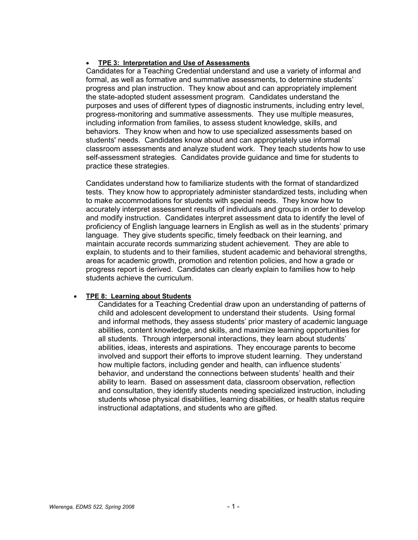## TPE 3: Interpretation and Use of Assessments

Candidates for a Teaching Credential understand and use a variety of informal and formal, as well as formative and summative assessments, to determine students' progress and plan instruction. They know about and can appropriately implement the state-adopted student assessment program. Candidates understand the purposes and uses of different types of diagnostic instruments, including entry level, progress-monitoring and summative assessments. They use multiple measures, including information from families, to assess student knowledge, skills, and behaviors. They know when and how to use specialized assessments based on students' needs. Candidates know about and can appropriately use informal classroom assessments and analyze student work. They teach students how to use self-assessment strategies. Candidates provide guidance and time for students to practice these strategies.

Candidates understand how to familiarize students with the format of standardized tests. They know how to appropriately administer standardized tests, including when to make accommodations for students with special needs. They know how to accurately interpret assessment results of individuals and groups in order to develop and modify instruction. Candidates interpret assessment data to identify the level of proficiency of English language learners in English as well as in the students' primary language. They give students specific, timely feedback on their learning, and maintain accurate records summarizing student achievement. They are able to explain, to students and to their families, student academic and behavioral strengths, areas for academic growth, promotion and retention policies, and how a grade or progress report is derived. Candidates can clearly explain to families how to help students achieve the curriculum.

## TPE 8: Learning about Students

Candidates for a Teaching Credential draw upon an understanding of patterns of child and adolescent development to understand their students. Using formal and informal methods, they assess students' prior mastery of academic language abilities, content knowledge, and skills, and maximize learning opportunities for all students. Through interpersonal interactions, they learn about students' abilities, ideas, interests and aspirations. They encourage parents to become involved and support their efforts to improve student learning. They understand how multiple factors, including gender and health, can influence students' behavior, and understand the connections between students' health and their ability to learn. Based on assessment data, classroom observation, reflection and consultation, they identify students needing specialized instruction, including students whose physical disabilities, learning disabilities, or health status require instructional adaptations, and students who are gifted.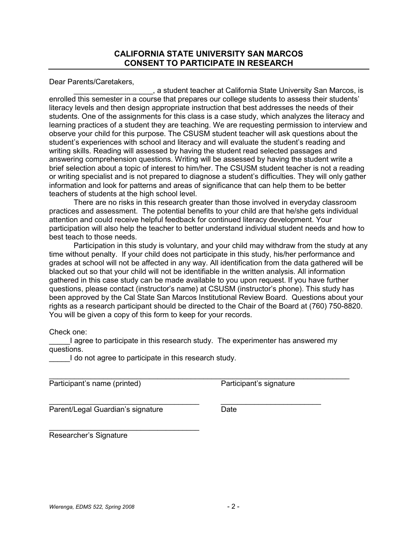Dear Parents/Caretakers,

\_\_\_\_\_\_\_\_\_\_\_\_\_\_\_\_\_\_\_, a student teacher at California State University San Marcos, is enrolled this semester in a course that prepares our college students to assess their students' literacy levels and then design appropriate instruction that best addresses the needs of their students. One of the assignments for this class is a case study, which analyzes the literacy and learning practices of a student they are teaching. We are requesting permission to interview and observe your child for this purpose. The CSUSM student teacher will ask questions about the student's experiences with school and literacy and will evaluate the student's reading and writing skills. Reading will assessed by having the student read selected passages and answering comprehension questions. Writing will be assessed by having the student write a brief selection about a topic of interest to him/her. The CSUSM student teacher is not a reading or writing specialist and is not prepared to diagnose a student's difficulties. They will only gather information and look for patterns and areas of significance that can help them to be better teachers of students at the high school level.

There are no risks in this research greater than those involved in everyday classroom practices and assessment. The potential benefits to your child are that he/she gets individual attention and could receive helpful feedback for continued literacy development. Your participation will also help the teacher to better understand individual student needs and how to best teach to those needs.

Participation in this study is voluntary, and your child may withdraw from the study at any time without penalty. If your child does not participate in this study, his/her performance and grades at school will not be affected in any way. All identification from the data gathered will be blacked out so that your child will not be identifiable in the written analysis. All information gathered in this case study can be made available to you upon request. If you have further questions, please contact (instructor's name) at CSUSM (instructor's phone). This study has been approved by the Cal State San Marcos Institutional Review Board. Questions about your rights as a research participant should be directed to the Chair of the Board at (760) 750-8820. You will be given a copy of this form to keep for your records.

Check one:

I agree to participate in this research study. The experimenter has answered my questions.

\_\_\_\_\_\_\_\_\_\_\_\_\_\_\_\_\_\_\_\_\_\_\_\_\_\_\_\_\_\_\_\_\_\_\_\_ \_\_\_\_\_\_\_\_\_\_\_\_\_\_\_\_\_\_\_\_\_\_\_\_

I do not agree to participate in this research study.

Participant's name (printed) Participant's signature

Parent/Legal Guardian's signature **Date** 

Researcher's Signature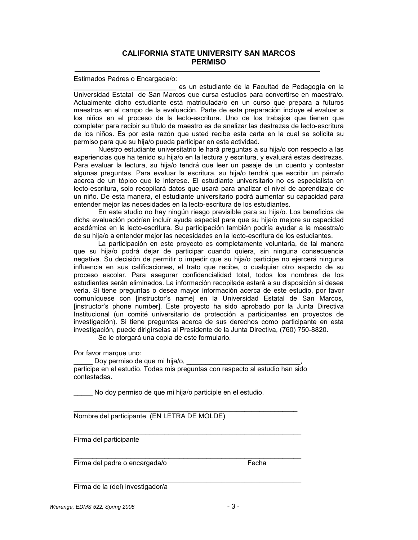Estimados Padres o Encargada/o:

\_\_\_\_\_\_\_\_\_\_\_\_\_\_\_\_\_\_\_\_\_\_\_\_\_\_\_ es un estudiante de la Facultad de Pedagogía en la Universidad Estatal de San Marcos que cursa estudios para convertirse en maestra/o. Actualmente dicho estudiante está matriculada/o en un curso que prepara a futuros maestros en el campo de la evaluación. Parte de esta preparación incluye el evaluar a los niños en el proceso de la lecto-escritura. Uno de los trabajos que tienen que completar para recibir su título de maestro es de analizar las destrezas de lecto-escritura de los niños. Es por esta razón que usted recibe esta carta en la cual se solicita su permiso para que su hija/o pueda participar en esta actividad.

Nuestro estudiante universitatrio le hará preguntas a su hija/o con respecto a las experiencias que ha tenido su hija/o en la lectura y escritura, y evaluará estas destrezas. Para evaluar la lectura, su hija/o tendrá que leer un pasaje de un cuento y contestar algunas preguntas. Para evaluar la escritura, su hija/o tendrá que escribir un párrafo acerca de un tópico que le interese. El estudiante universitario no es especialista en lecto-escritura, solo recopilará datos que usará para analizar el nivel de aprendizaje de un niño. De esta manera, el estudiante universitario podrá aumentar su capacidad para entender mejor las necesidades en la lecto-escritura de los estudiantes.

En este studio no hay ningún riesgo previsible para su hija/o. Los beneficios de dicha evaluación podrían incluír ayuda especial para que su hija/o mejore su capacidad académica en la lecto-escritura. Su participación también podría ayudar a la maestra/o de su hija/o a entender mejor las necesidades en la lecto-escritura de los estudiantes.

La participación en este proyecto es completamente voluntaria, de tal manera que su hija/o podrá dejar de participar cuando quiera, sin ninguna consecuencia negativa. Su decisión de permitir o impedir que su hija/o participe no ejercerá ninguna influencia en sus calificaciones, el trato que recibe, o cualquier otro aspecto de su proceso escolar. Para asegurar confidencialidad total, todos los nombres de los estudiantes serán eliminados. La información recopilada estará a su disposición si desea verla. Si tiene preguntas o desea mayor información acerca de este estudio, por favor comuníquese con [instructor's name] en la Universidad Estatal de San Marcos, [instructor's phone number]. Este proyecto ha sido aprobado por la Junta Directiva Institucional (un comité universitario de protección a participantes en proyectos de investigación). Si tiene preguntas acerca de sus derechos como participante en esta investigación, puede dirigírselas al Presidente de la Junta Directiva, (760) 750-8820.

Se le otorgará una copia de este formulario.

Por favor marque uno:

Doy permiso de que mi hija/o, participe en el estudio. Todas mis preguntas con respecto al estudio han sido contestadas.

No doy permiso de que mi hija/o participle en el estudio.

Nombre del participante (EN LETRA DE MOLDE)

Firma del participante

Firma del padre o encargada/o entra entra en el establecentro en el establecentro en el establecentro en el es

Firma de la (del) investigador/a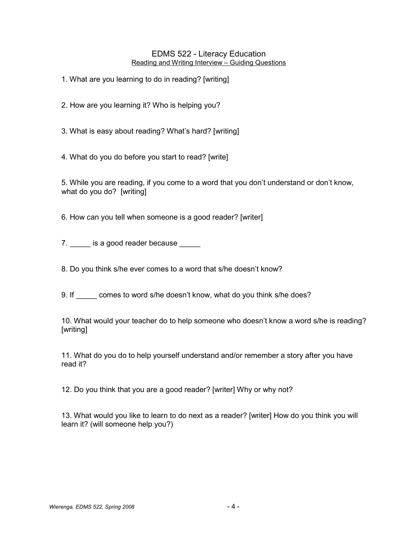## EDMS 522 - Literacy Education Reading and Writing Interview – Guiding Questions

1. What are you learning to do in reading? [writing]

2. How are you learning it? Who is helping you?

3. What is easy about reading? What's hard? [writing]

4. What do you do before you start to read? [write]

5. While you are reading, if you come to a word that you don't understand or don't know, what do you do? [writing]

6. How can you tell when someone is a good reader? [writer]

7. \_\_\_\_\_\_ is a good reader because \_\_\_\_\_

8. Do you think s/he ever comes to a word that s/he doesn't know?

9. If comes to word s/he doesn't know, what do you think s/he does?

10. What would your teacher do to help someone who doesn't know a word s/he is reading? [writing]

11. What do you do to help yourself understand and/or remember a story after you have read it?

12. Do you think that you are a good reader? [writer] Why or why not?

13. What would you like to learn to do next as a reader? [writer] How do you think you will learn it? (will someone help you?)